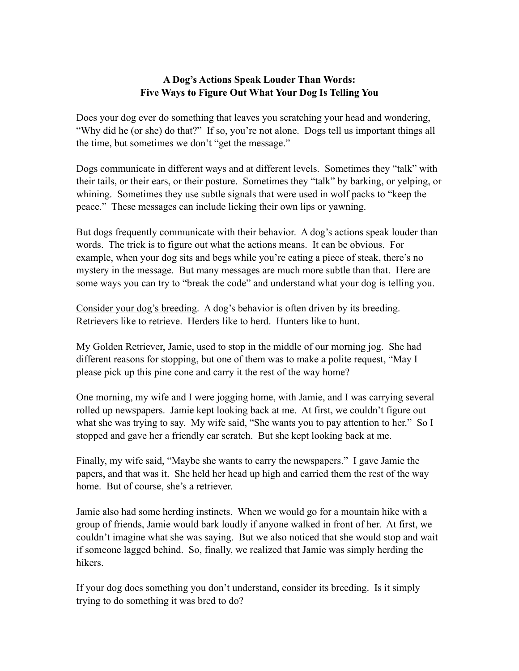## **A Dog's Actions Speak Louder Than Words: Five Ways to Figure Out What Your Dog Is Telling You**

Does your dog ever do something that leaves you scratching your head and wondering, "Why did he (or she) do that?" If so, you're not alone. Dogs tell us important things all the time, but sometimes we don't "get the message."

Dogs communicate in different ways and at different levels. Sometimes they "talk" with their tails, or their ears, or their posture. Sometimes they "talk" by barking, or yelping, or whining. Sometimes they use subtle signals that were used in wolf packs to "keep the peace." These messages can include licking their own lips or yawning.

But dogs frequently communicate with their behavior. A dog's actions speak louder than words. The trick is to figure out what the actions means. It can be obvious. For example, when your dog sits and begs while you're eating a piece of steak, there's no mystery in the message. But many messages are much more subtle than that. Here are some ways you can try to "break the code" and understand what your dog is telling you.

Consider your dog's breeding. A dog's behavior is often driven by its breeding. Retrievers like to retrieve. Herders like to herd. Hunters like to hunt.

My Golden Retriever, Jamie, used to stop in the middle of our morning jog. She had different reasons for stopping, but one of them was to make a polite request, "May I please pick up this pine cone and carry it the rest of the way home?

One morning, my wife and I were jogging home, with Jamie, and I was carrying several rolled up newspapers. Jamie kept looking back at me. At first, we couldn't figure out what she was trying to say. My wife said, "She wants you to pay attention to her." So I stopped and gave her a friendly ear scratch. But she kept looking back at me.

Finally, my wife said, "Maybe she wants to carry the newspapers." I gave Jamie the papers, and that was it. She held her head up high and carried them the rest of the way home. But of course, she's a retriever.

Jamie also had some herding instincts. When we would go for a mountain hike with a group of friends, Jamie would bark loudly if anyone walked in front of her. At first, we couldn't imagine what she was saying. But we also noticed that she would stop and wait if someone lagged behind. So, finally, we realized that Jamie was simply herding the hikers.

If your dog does something you don't understand, consider its breeding. Is it simply trying to do something it was bred to do?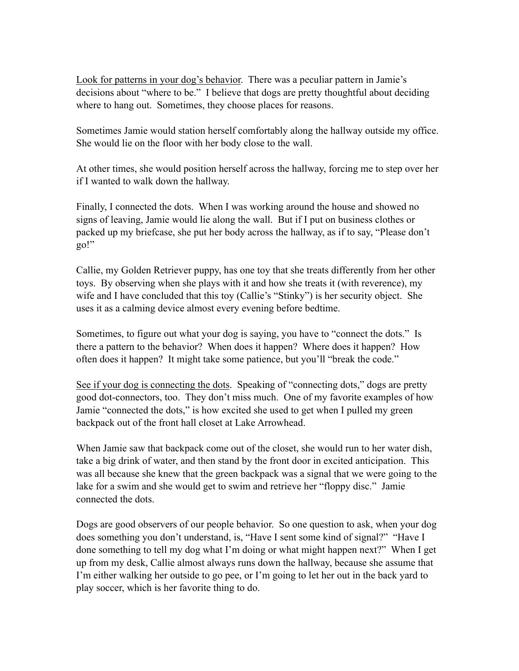Look for patterns in your dog's behavior. There was a peculiar pattern in Jamie's decisions about "where to be." I believe that dogs are pretty thoughtful about deciding where to hang out. Sometimes, they choose places for reasons.

Sometimes Jamie would station herself comfortably along the hallway outside my office. She would lie on the floor with her body close to the wall.

At other times, she would position herself across the hallway, forcing me to step over her if I wanted to walk down the hallway.

Finally, I connected the dots. When I was working around the house and showed no signs of leaving, Jamie would lie along the wall. But if I put on business clothes or packed up my briefcase, she put her body across the hallway, as if to say, "Please don't go!"

Callie, my Golden Retriever puppy, has one toy that she treats differently from her other toys. By observing when she plays with it and how she treats it (with reverence), my wife and I have concluded that this toy (Callie's "Stinky") is her security object. She uses it as a calming device almost every evening before bedtime.

Sometimes, to figure out what your dog is saying, you have to "connect the dots." Is there a pattern to the behavior? When does it happen? Where does it happen? How often does it happen? It might take some patience, but you'll "break the code."

See if your dog is connecting the dots. Speaking of "connecting dots," dogs are pretty good dot-connectors, too. They don't miss much. One of my favorite examples of how Jamie "connected the dots," is how excited she used to get when I pulled my green backpack out of the front hall closet at Lake Arrowhead.

When Jamie saw that backpack come out of the closet, she would run to her water dish, take a big drink of water, and then stand by the front door in excited anticipation. This was all because she knew that the green backpack was a signal that we were going to the lake for a swim and she would get to swim and retrieve her "floppy disc." Jamie connected the dots.

Dogs are good observers of our people behavior. So one question to ask, when your dog does something you don't understand, is, "Have I sent some kind of signal?" "Have I done something to tell my dog what I'm doing or what might happen next?" When I get up from my desk, Callie almost always runs down the hallway, because she assume that I'm either walking her outside to go pee, or I'm going to let her out in the back yard to play soccer, which is her favorite thing to do.